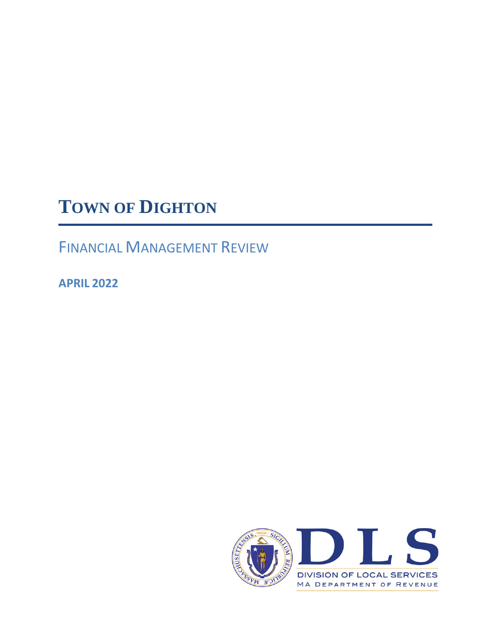# **TOWN OF DIGHTON**

FINANCIAL MANAGEMENT REVIEW

**APRIL 2022**

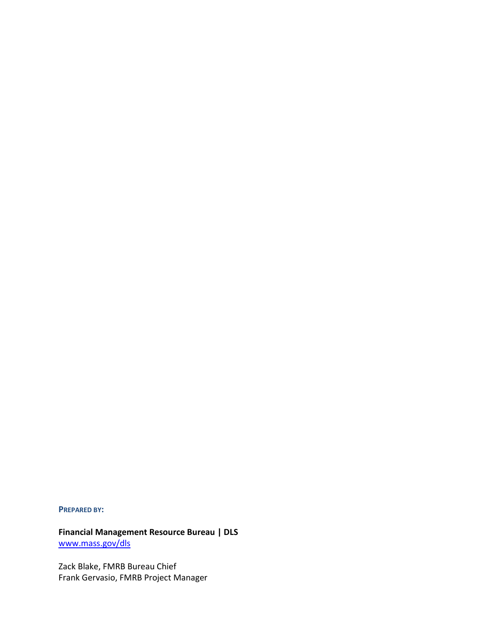**PREPARED BY:**

**Financial Management Resource Bureau | DLS**  [www.mass.gov/dls](http://www.mass.gov/dls)

Zack Blake, FMRB Bureau Chief Frank Gervasio, FMRB Project Manager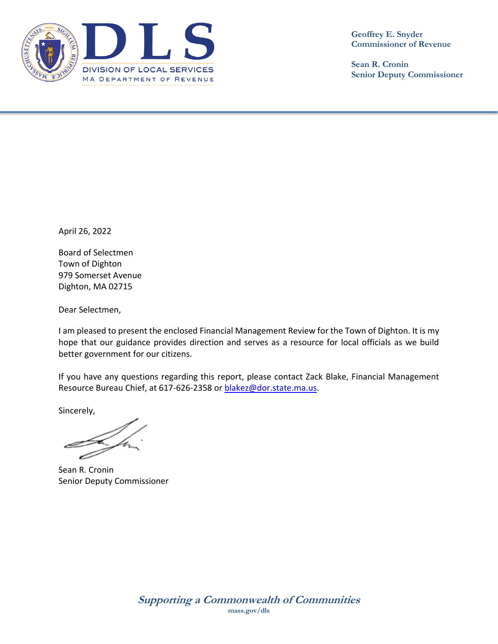

**Sean R. Cronin Senior Deputy Commissioner**

April 26, 2022

Board of Selectmen Town of Dighton 979 Somerset Avenue Dighton, MA 02715

Dear Selectmen,

I am pleased to present the enclosed Financial Management Review for the Town of Dighton. It is my hope that our guidance provides direction and serves as a resource for local officials as we build better government for our citizens.

If you have any questions regarding this report, please contact Zack Blake, Financial Management Resource Bureau Chief, at 617-626-2358 or [blakez@dor.state.ma.us.](mailto:blakez@dor.state.ma.us)

Sincerely,

Sean R. Cronin Senior Deputy Commissioner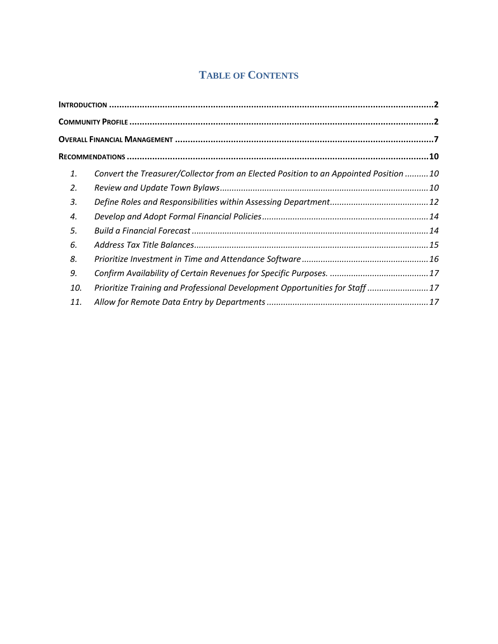## **TABLE OF CONTENTS**

| 1.  | Convert the Treasurer/Collector from an Elected Position to an Appointed Position 10 |  |
|-----|--------------------------------------------------------------------------------------|--|
| 2.  |                                                                                      |  |
| 3.  |                                                                                      |  |
| 4.  |                                                                                      |  |
| 5.  |                                                                                      |  |
| 6.  |                                                                                      |  |
| 8.  |                                                                                      |  |
| 9.  |                                                                                      |  |
| 10. | Prioritize Training and Professional Development Opportunities for Staff  17         |  |
| 11. |                                                                                      |  |
|     |                                                                                      |  |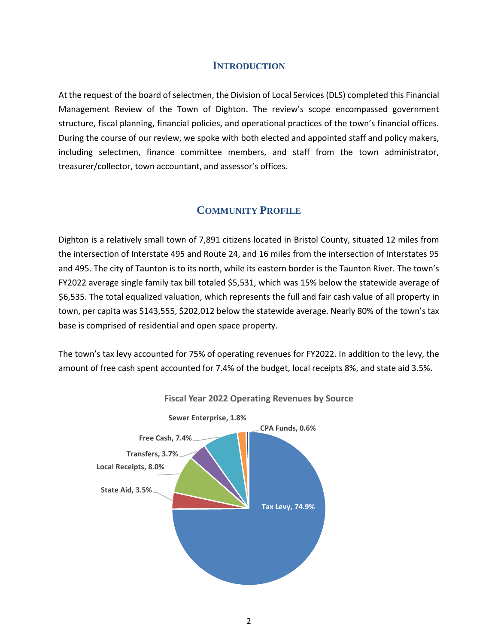#### **INTRODUCTION**

<span id="page-5-0"></span>At the request of the board of selectmen, the Division of Local Services (DLS) completed this Financial Management Review of the Town of Dighton. The review's scope encompassed government structure, fiscal planning, financial policies, and operational practices of the town's financial offices. During the course of our review, we spoke with both elected and appointed staff and policy makers, including selectmen, finance committee members, and staff from the town administrator, treasurer/collector, town accountant, and assessor's offices.

## **COMMUNITY PROFILE**

<span id="page-5-1"></span>Dighton is a relatively small town of 7,891 citizens located in Bristol County, situated 12 miles from the intersection of Interstate 495 and Route 24, and 16 miles from the intersection of Interstates 95 and 495. The city of Taunton is to its north, while its eastern border is the Taunton River. The town's FY2022 average single family tax bill totaled \$5,531, which was 15% below the statewide average of \$6,535. The total equalized valuation, which represents the full and fair cash value of all property in town, per capita was \$143,555, \$202,012 below the statewide average. Nearly 80% of the town's tax base is comprised of residential and open space property.

The town's tax levy accounted for 75% of operating revenues for FY2022. In addition to the levy, the amount of free cash spent accounted for 7.4% of the budget, local receipts 8%, and state aid 3.5%.



**Fiscal Year 2022 Operating Revenues by Source**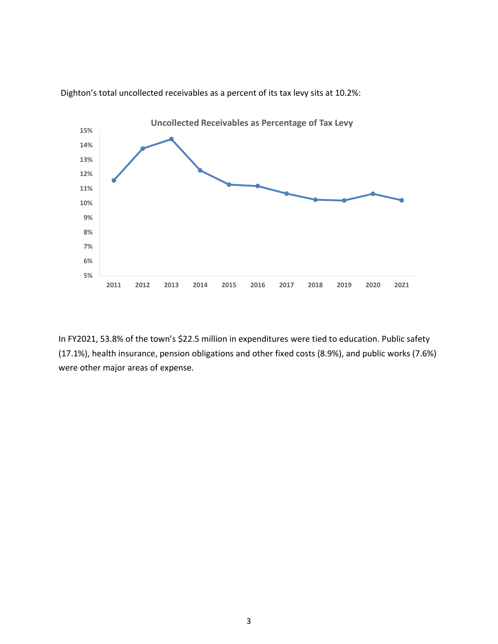

Dighton's total uncollected receivables as a percent of its tax levy sits at 10.2%:

In FY2021, 53.8% of the town's \$22.5 million in expenditures were tied to education. Public safety (17.1%), health insurance, pension obligations and other fixed costs (8.9%), and public works (7.6%) were other major areas of expense.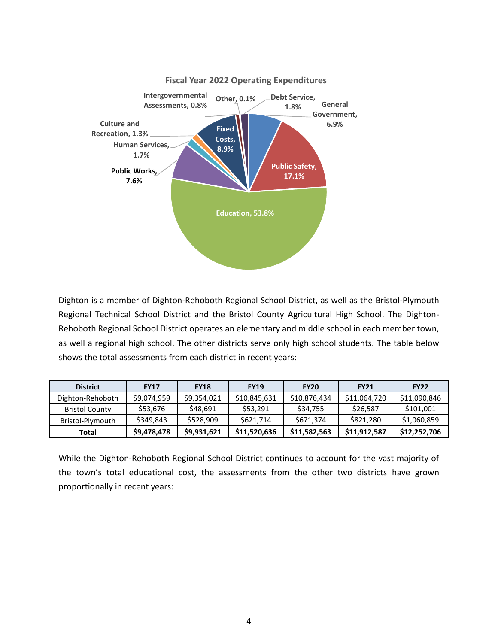

Dighton is a member of Dighton-Rehoboth Regional School District, as well as the Bristol-Plymouth Regional Technical School District and the Bristol County Agricultural High School. The Dighton-Rehoboth Regional School District operates an elementary and middle school in each member town, as well a regional high school. The other districts serve only high school students. The table below shows the total assessments from each district in recent years:

| <b>District</b>       | <b>FY17</b> | <b>FY18</b> | <b>FY19</b>  | <b>FY20</b>  | <b>FY21</b>  | <b>FY22</b>  |
|-----------------------|-------------|-------------|--------------|--------------|--------------|--------------|
| Dighton-Rehoboth      | \$9,074,959 | \$9,354,021 | \$10,845,631 | \$10,876,434 | \$11,064,720 | \$11,090,846 |
| <b>Bristol County</b> | \$53.676    | \$48.691    | \$53.291     | \$34.755     | \$26.587     | \$101,001    |
| Bristol-Plymouth      | \$349,843   | \$528,909   | \$621,714    | \$671,374    | \$821,280    | \$1,060,859  |
| Total                 | \$9,478,478 | \$9,931,621 | \$11,520,636 | \$11,582,563 | \$11,912,587 | \$12,252,706 |

While the Dighton-Rehoboth Regional School District continues to account for the vast majority of the town's total educational cost, the assessments from the other two districts have grown proportionally in recent years: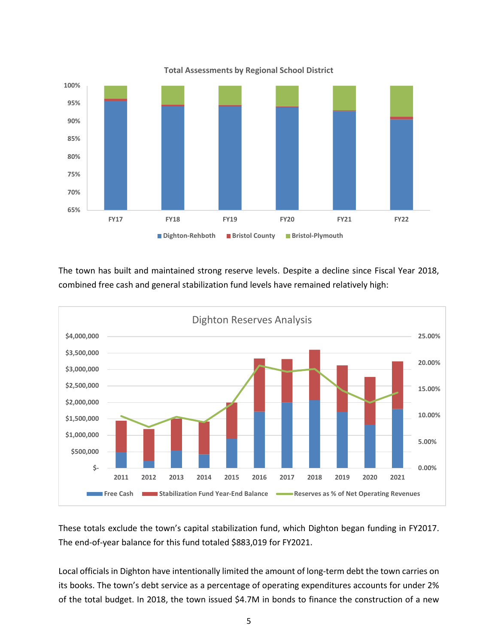

The town has built and maintained strong reserve levels. Despite a decline since Fiscal Year 2018, combined free cash and general stabilization fund levels have remained relatively high:



These totals exclude the town's capital stabilization fund, which Dighton began funding in FY2017. The end-of-year balance for this fund totaled \$883,019 for FY2021.

Local officials in Dighton have intentionally limited the amount of long-term debt the town carries on its books. The town's debt service as a percentage of operating expenditures accounts for under 2% of the total budget. In 2018, the town issued \$4.7M in bonds to finance the construction of a new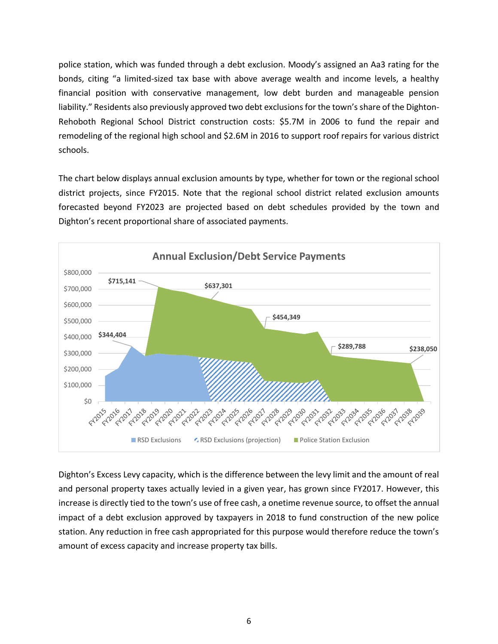police station, which was funded through a debt exclusion. Moody's assigned an Aa3 rating for the bonds, citing "a limited-sized tax base with above average wealth and income levels, a healthy financial position with conservative management, low debt burden and manageable pension liability." Residents also previously approved two debt exclusions for the town's share of the Dighton-Rehoboth Regional School District construction costs: \$5.7M in 2006 to fund the repair and remodeling of the regional high school and \$2.6M in 2016 to support roof repairs for various district schools.

The chart below displays annual exclusion amounts by type, whether for town or the regional school district projects, since FY2015. Note that the regional school district related exclusion amounts forecasted beyond FY2023 are projected based on debt schedules provided by the town and Dighton's recent proportional share of associated payments.



Dighton's Excess Levy capacity, which is the difference between the levy limit and the amount of real and personal property taxes actually levied in a given year, has grown since FY2017. However, this increase is directly tied to the town's use of free cash, a onetime revenue source, to offset the annual impact of a debt exclusion approved by taxpayers in 2018 to fund construction of the new police station. Any reduction in free cash appropriated for this purpose would therefore reduce the town's amount of excess capacity and increase property tax bills.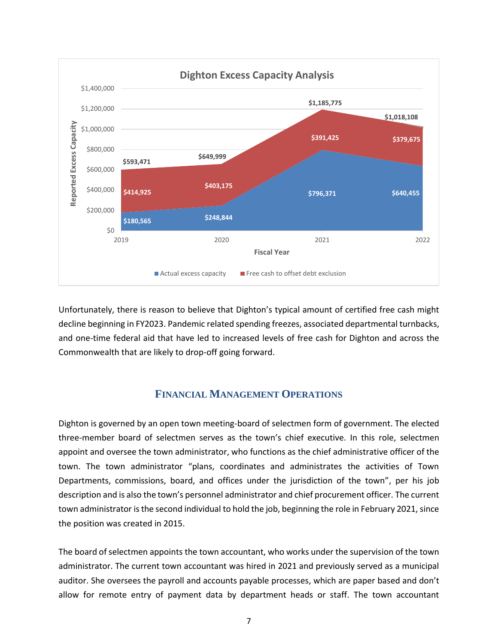

Unfortunately, there is reason to believe that Dighton's typical amount of certified free cash might decline beginning in FY2023. Pandemic related spending freezes, associated departmental turnbacks, and one-time federal aid that have led to increased levels of free cash for Dighton and across the Commonwealth that are likely to drop-off going forward.

## **FINANCIAL MANAGEMENT OPERATIONS**

<span id="page-10-0"></span>Dighton is governed by an open town meeting-board of selectmen form of government. The elected three-member board of selectmen serves as the town's chief executive. In this role, selectmen appoint and oversee the town administrator, who functions as the chief administrative officer of the town. The town administrator "plans, coordinates and administrates the activities of Town Departments, commissions, board, and offices under the jurisdiction of the town", per his job description and is also the town's personnel administrator and chief procurement officer. The current town administrator is the second individual to hold the job, beginning the role in February 2021, since the position was created in 2015.

The board of selectmen appoints the town accountant, who works under the supervision of the town administrator. The current town accountant was hired in 2021 and previously served as a municipal auditor. She oversees the payroll and accounts payable processes, which are paper based and don't allow for remote entry of payment data by department heads or staff. The town accountant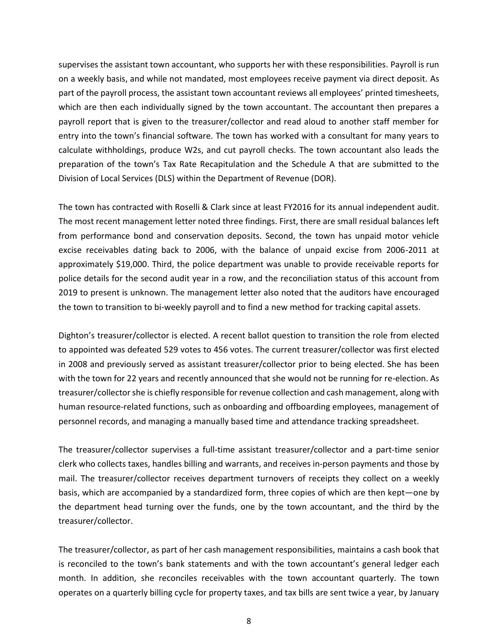supervises the assistant town accountant, who supports her with these responsibilities. Payroll is run on a weekly basis, and while not mandated, most employees receive payment via direct deposit. As part of the payroll process, the assistant town accountant reviews all employees' printed timesheets, which are then each individually signed by the town accountant. The accountant then prepares a payroll report that is given to the treasurer/collector and read aloud to another staff member for entry into the town's financial software. The town has worked with a consultant for many years to calculate withholdings, produce W2s, and cut payroll checks. The town accountant also leads the preparation of the town's Tax Rate Recapitulation and the Schedule A that are submitted to the Division of Local Services (DLS) within the Department of Revenue (DOR).

The town has contracted with Roselli & Clark since at least FY2016 for its annual independent audit. The most recent management letter noted three findings. First, there are small residual balances left from performance bond and conservation deposits. Second, the town has unpaid motor vehicle excise receivables dating back to 2006, with the balance of unpaid excise from 2006-2011 at approximately \$19,000. Third, the police department was unable to provide receivable reports for police details for the second audit year in a row, and the reconciliation status of this account from 2019 to present is unknown. The management letter also noted that the auditors have encouraged the town to transition to bi-weekly payroll and to find a new method for tracking capital assets.

Dighton's treasurer/collector is elected. A recent ballot question to transition the role from elected to appointed was defeated 529 votes to 456 votes. The current treasurer/collector was first elected in 2008 and previously served as assistant treasurer/collector prior to being elected. She has been with the town for 22 years and recently announced that she would not be running for re-election. As treasurer/collector she is chiefly responsible for revenue collection and cash management, along with human resource-related functions, such as onboarding and offboarding employees, management of personnel records, and managing a manually based time and attendance tracking spreadsheet.

The treasurer/collector supervises a full-time assistant treasurer/collector and a part-time senior clerk who collects taxes, handles billing and warrants, and receives in-person payments and those by mail. The treasurer/collector receives department turnovers of receipts they collect on a weekly basis, which are accompanied by a standardized form, three copies of which are then kept—one by the department head turning over the funds, one by the town accountant, and the third by the treasurer/collector.

The treasurer/collector, as part of her cash management responsibilities, maintains a cash book that is reconciled to the town's bank statements and with the town accountant's general ledger each month. In addition, she reconciles receivables with the town accountant quarterly. The town operates on a quarterly billing cycle for property taxes, and tax bills are sent twice a year, by January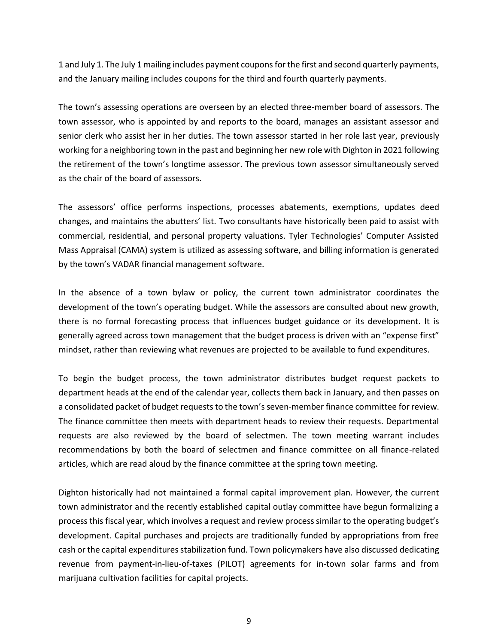1 and July 1. The July 1 mailing includes payment coupons for the first and second quarterly payments, and the January mailing includes coupons for the third and fourth quarterly payments.

The town's assessing operations are overseen by an elected three-member board of assessors. The town assessor, who is appointed by and reports to the board, manages an assistant assessor and senior clerk who assist her in her duties. The town assessor started in her role last year, previously working for a neighboring town in the past and beginning her new role with Dighton in 2021 following the retirement of the town's longtime assessor. The previous town assessor simultaneously served as the chair of the board of assessors.

The assessors' office performs inspections, processes abatements, exemptions, updates deed changes, and maintains the abutters' list. Two consultants have historically been paid to assist with commercial, residential, and personal property valuations. Tyler Technologies' Computer Assisted Mass Appraisal (CAMA) system is utilized as assessing software, and billing information is generated by the town's VADAR financial management software.

In the absence of a town bylaw or policy, the current town administrator coordinates the development of the town's operating budget. While the assessors are consulted about new growth, there is no formal forecasting process that influences budget guidance or its development. It is generally agreed across town management that the budget process is driven with an "expense first" mindset, rather than reviewing what revenues are projected to be available to fund expenditures.

To begin the budget process, the town administrator distributes budget request packets to department heads at the end of the calendar year, collects them back in January, and then passes on a consolidated packet of budget requests to the town's seven-member finance committee for review. The finance committee then meets with department heads to review their requests. Departmental requests are also reviewed by the board of selectmen. The town meeting warrant includes recommendations by both the board of selectmen and finance committee on all finance-related articles, which are read aloud by the finance committee at the spring town meeting.

Dighton historically had not maintained a formal capital improvement plan. However, the current town administrator and the recently established capital outlay committee have begun formalizing a process this fiscal year, which involves a request and review process similar to the operating budget's development. Capital purchases and projects are traditionally funded by appropriations from free cash or the capital expenditures stabilization fund. Town policymakers have also discussed dedicating revenue from payment-in-lieu-of-taxes (PILOT) agreements for in-town solar farms and from marijuana cultivation facilities for capital projects.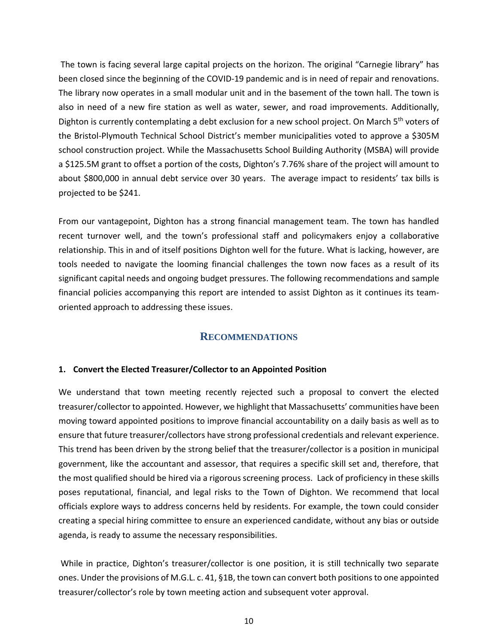The town is facing several large capital projects on the horizon. The original "Carnegie library" has been closed since the beginning of the COVID-19 pandemic and is in need of repair and renovations. The library now operates in a small modular unit and in the basement of the town hall. The town is also in need of a new fire station as well as water, sewer, and road improvements. Additionally, Dighton is currently contemplating a debt exclusion for a new school project. On March 5<sup>th</sup> voters of the Bristol-Plymouth Technical School District's member municipalities voted to approve a \$305M school construction project. While the Massachusetts School Building Authority (MSBA) will provide a \$125.5M grant to offset a portion of the costs, Dighton's 7.76% share of the project will amount to about \$800,000 in annual debt service over 30 years. The average impact to residents' tax bills is projected to be \$241.

From our vantagepoint, Dighton has a strong financial management team. The town has handled recent turnover well, and the town's professional staff and policymakers enjoy a collaborative relationship. This in and of itself positions Dighton well for the future. What is lacking, however, are tools needed to navigate the looming financial challenges the town now faces as a result of its significant capital needs and ongoing budget pressures. The following recommendations and sample financial policies accompanying this report are intended to assist Dighton as it continues its teamoriented approach to addressing these issues.

## **RECOMMENDATIONS**

#### <span id="page-13-1"></span><span id="page-13-0"></span>**1. Convert the Elected Treasurer/Collector to an Appointed Position**

We understand that town meeting recently rejected such a proposal to convert the elected treasurer/collector to appointed. However, we highlight that Massachusetts' communities have been moving toward appointed positions to improve financial accountability on a daily basis as well as to ensure that future treasurer/collectors have strong professional credentials and relevant experience. This trend has been driven by the strong belief that the treasurer/collector is a position in municipal government, like the accountant and assessor, that requires a specific skill set and, therefore, that the most qualified should be hired via a rigorous screening process. Lack of proficiency in these skills poses reputational, financial, and legal risks to the Town of Dighton. We recommend that local officials explore ways to address concerns held by residents. For example, the town could consider creating a special hiring committee to ensure an experienced candidate, without any bias or outside agenda, is ready to assume the necessary responsibilities.

While in practice, Dighton's treasurer/collector is one position, it is still technically two separate ones. Under the provisions of M.G.L. c. 41, §1B, the town can convert both positions to one appointed treasurer/collector's role by town meeting action and subsequent voter approval.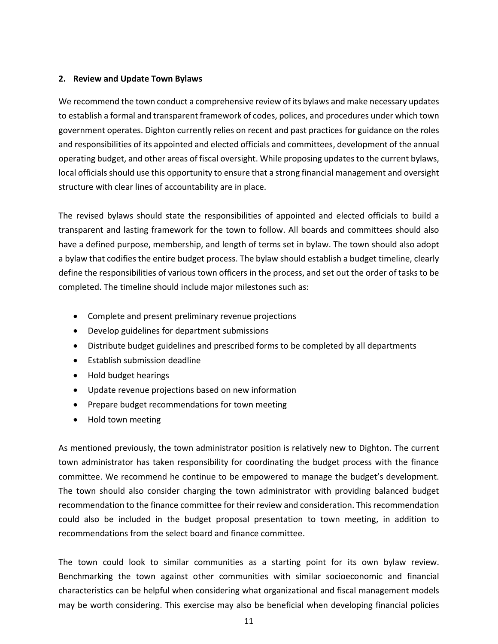#### **2. Review and Update Town Bylaws**

We recommend the town conduct a comprehensive review of its bylaws and make necessary updates to establish a formal and transparent framework of codes, polices, and procedures under which town government operates. Dighton currently relies on recent and past practices for guidance on the roles and responsibilities of its appointed and elected officials and committees, development of the annual operating budget, and other areas of fiscal oversight. While proposing updates to the current bylaws, local officials should use this opportunity to ensure that a strong financial management and oversight structure with clear lines of accountability are in place.

The revised bylaws should state the responsibilities of appointed and elected officials to build a transparent and lasting framework for the town to follow. All boards and committees should also have a defined purpose, membership, and length of terms set in bylaw. The town should also adopt a bylaw that codifies the entire budget process. The bylaw should establish a budget timeline, clearly define the responsibilities of various town officers in the process, and set out the order of tasks to be completed. The timeline should include major milestones such as:

- Complete and present preliminary revenue projections
- Develop guidelines for department submissions
- Distribute budget guidelines and prescribed forms to be completed by all departments
- Establish submission deadline
- Hold budget hearings
- Update revenue projections based on new information
- Prepare budget recommendations for town meeting
- Hold town meeting

As mentioned previously, the town administrator position is relatively new to Dighton. The current town administrator has taken responsibility for coordinating the budget process with the finance committee. We recommend he continue to be empowered to manage the budget's development. The town should also consider charging the town administrator with providing balanced budget recommendation to the finance committee for their review and consideration. This recommendation could also be included in the budget proposal presentation to town meeting, in addition to recommendations from the select board and finance committee.

The town could look to similar communities as a starting point for its own bylaw review. Benchmarking the town against other communities with similar socioeconomic and financial characteristics can be helpful when considering what organizational and fiscal management models may be worth considering. This exercise may also be beneficial when developing financial policies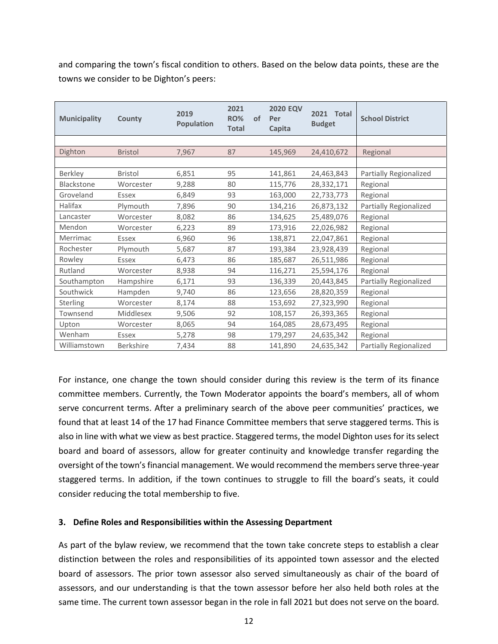and comparing the town's fiscal condition to others. Based on the below data points, these are the towns we consider to be Dighton's peers:

| <b>Municipality</b> | County           | 2019<br><b>Population</b> | 2021<br><b>RO%</b><br><b>Total</b> | of | <b>2020 EQV</b><br>Per<br>Capita | 2021<br>Total<br><b>Budget</b> | <b>School District</b> |
|---------------------|------------------|---------------------------|------------------------------------|----|----------------------------------|--------------------------------|------------------------|
|                     |                  |                           |                                    |    |                                  |                                |                        |
| Dighton             | <b>Bristol</b>   | 7,967                     | 87                                 |    | 145,969                          | 24,410,672                     | Regional               |
|                     |                  |                           |                                    |    |                                  |                                |                        |
| Berkley             | <b>Bristol</b>   | 6,851                     | 95                                 |    | 141,861                          | 24,463,843                     | Partially Regionalized |
| <b>Blackstone</b>   | Worcester        | 9,288                     | 80                                 |    | 115,776                          | 28,332,171                     | Regional               |
| Groveland           | Essex            | 6,849                     | 93                                 |    | 163,000                          | 22,733,773                     | Regional               |
| Halifax             | Plymouth         | 7,896                     | 90                                 |    | 134,216                          | 26,873,132                     | Partially Regionalized |
| Lancaster           | Worcester        | 8,082                     | 86                                 |    | 134,625                          | 25,489,076                     | Regional               |
| Mendon              | Worcester        | 6,223                     | 89                                 |    | 173,916                          | 22,026,982                     | Regional               |
| Merrimac            | Essex            | 6,960                     | 96                                 |    | 138,871                          | 22,047,861                     | Regional               |
| Rochester           | Plymouth         | 5,687                     | 87                                 |    | 193,384                          | 23,928,439                     | Regional               |
| Rowley              | Essex            | 6,473                     | 86                                 |    | 185,687                          | 26,511,986                     | Regional               |
| Rutland             | Worcester        | 8,938                     | 94                                 |    | 116,271                          | 25,594,176                     | Regional               |
| Southampton         | Hampshire        | 6,171                     | 93                                 |    | 136,339                          | 20,443,845                     | Partially Regionalized |
| Southwick           | Hampden          | 9,740                     | 86                                 |    | 123,656                          | 28,820,359                     | Regional               |
| Sterling            | Worcester        | 8,174                     | 88                                 |    | 153,692                          | 27,323,990                     | Regional               |
| Townsend            | Middlesex        | 9,506                     | 92                                 |    | 108,157                          | 26,393,365                     | Regional               |
| Upton               | Worcester        | 8,065                     | 94                                 |    | 164,085                          | 28,673,495                     | Regional               |
| Wenham              | Essex            | 5,278                     | 98                                 |    | 179,297                          | 24,635,342                     | Regional               |
| Williamstown        | <b>Berkshire</b> | 7,434                     | 88                                 |    | 141,890                          | 24,635,342                     | Partially Regionalized |

<span id="page-15-0"></span>For instance, one change the town should consider during this review is the term of its finance committee members. Currently, the Town Moderator appoints the board's members, all of whom serve concurrent terms. After a preliminary search of the above peer communities' practices, we found that at least 14 of the 17 had Finance Committee members that serve staggered terms. This is also in line with what we view as best practice. Staggered terms, the model Dighton uses for its select board and board of assessors, allow for greater continuity and knowledge transfer regarding the oversight of the town's financial management. We would recommend the members serve three-year staggered terms. In addition, if the town continues to struggle to fill the board's seats, it could consider reducing the total membership to five.

#### **3. Define Roles and Responsibilities within the Assessing Department**

As part of the bylaw review, we recommend that the town take concrete steps to establish a clear distinction between the roles and responsibilities of its appointed town assessor and the elected board of assessors. The prior town assessor also served simultaneously as chair of the board of assessors, and our understanding is that the town assessor before her also held both roles at the same time. The current town assessor began in the role in fall 2021 but does not serve on the board.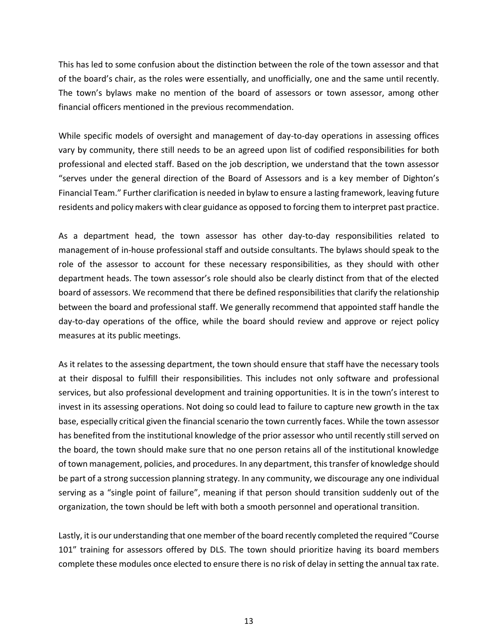This has led to some confusion about the distinction between the role of the town assessor and that of the board's chair, as the roles were essentially, and unofficially, one and the same until recently. The town's bylaws make no mention of the board of assessors or town assessor, among other financial officers mentioned in the previous recommendation.

While specific models of oversight and management of day-to-day operations in assessing offices vary by community, there still needs to be an agreed upon list of codified responsibilities for both professional and elected staff. Based on the job description, we understand that the town assessor "serves under the general direction of the Board of Assessors and is a key member of Dighton's Financial Team." Further clarification is needed in bylaw to ensure a lasting framework, leaving future residents and policy makers with clear guidance as opposed to forcing them to interpret past practice.

As a department head, the town assessor has other day-to-day responsibilities related to management of in-house professional staff and outside consultants. The bylaws should speak to the role of the assessor to account for these necessary responsibilities, as they should with other department heads. The town assessor's role should also be clearly distinct from that of the elected board of assessors. We recommend that there be defined responsibilities that clarify the relationship between the board and professional staff. We generally recommend that appointed staff handle the day-to-day operations of the office, while the board should review and approve or reject policy measures at its public meetings.

As it relates to the assessing department, the town should ensure that staff have the necessary tools at their disposal to fulfill their responsibilities. This includes not only software and professional services, but also professional development and training opportunities. It is in the town's interest to invest in its assessing operations. Not doing so could lead to failure to capture new growth in the tax base, especially critical given the financial scenario the town currently faces. While the town assessor has benefited from the institutional knowledge of the prior assessor who until recently still served on the board, the town should make sure that no one person retains all of the institutional knowledge of town management, policies, and procedures. In any department, this transfer of knowledge should be part of a strong succession planning strategy. In any community, we discourage any one individual serving as a "single point of failure", meaning if that person should transition suddenly out of the organization, the town should be left with both a smooth personnel and operational transition.

Lastly, it is our understanding that one member of the board recently completed the required "Course 101" training for assessors offered by DLS. The town should prioritize having its board members complete these modules once elected to ensure there is no risk of delay in setting the annual tax rate.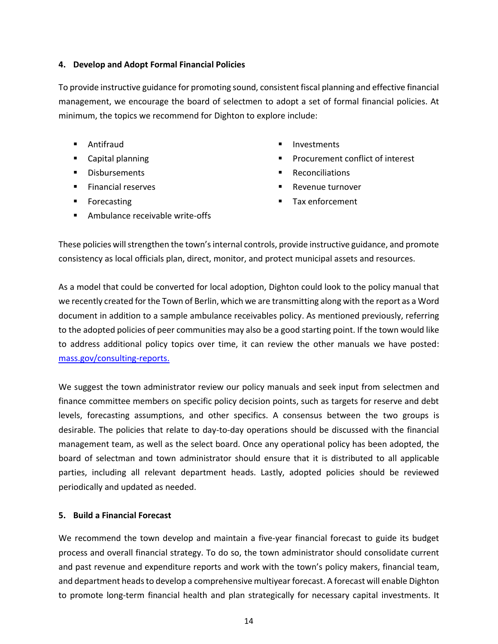#### <span id="page-17-0"></span>**4. Develop and Adopt Formal Financial Policies**

To provide instructive guidance for promoting sound, consistent fiscal planning and effective financial management, we encourage the board of selectmen to adopt a set of formal financial policies. At minimum, the topics we recommend for Dighton to explore include:

- Antifraud
- Capital planning
- Disbursements
- Financial reserves
- Forecasting
- Ambulance receivable write-offs
- **Investments**
- Procurement conflict of interest
- **Reconciliations**
- Revenue turnover
- Tax enforcement

These policies will strengthen the town's internal controls, provide instructive guidance, and promote consistency as local officials plan, direct, monitor, and protect municipal assets and resources.

As a model that could be converted for local adoption, Dighton could look to the policy manual that we recently created for the Town of Berlin, which we are transmitting along with the report as a Word document in addition to a sample ambulance receivables policy. As mentioned previously, referring to the adopted policies of peer communities may also be a good starting point. If the town would like to address additional policy topics over time, it can review the other manuals we have posted: [mass.gov/consulting-reports.](https://www.mass.gov/consulting-reports)

We suggest the town administrator review our policy manuals and seek input from selectmen and finance committee members on specific policy decision points, such as targets for reserve and debt levels, forecasting assumptions, and other specifics. A consensus between the two groups is desirable. The policies that relate to day-to-day operations should be discussed with the financial management team, as well as the select board. Once any operational policy has been adopted, the board of selectman and town administrator should ensure that it is distributed to all applicable parties, including all relevant department heads. Lastly, adopted policies should be reviewed periodically and updated as needed.

#### <span id="page-17-1"></span>**5. Build a Financial Forecast**

We recommend the town develop and maintain a five-year financial forecast to guide its budget process and overall financial strategy. To do so, the town administrator should consolidate current and past revenue and expenditure reports and work with the town's policy makers, financial team, and department heads to develop a comprehensive multiyear forecast. A forecast will enable Dighton to promote long-term financial health and plan strategically for necessary capital investments. It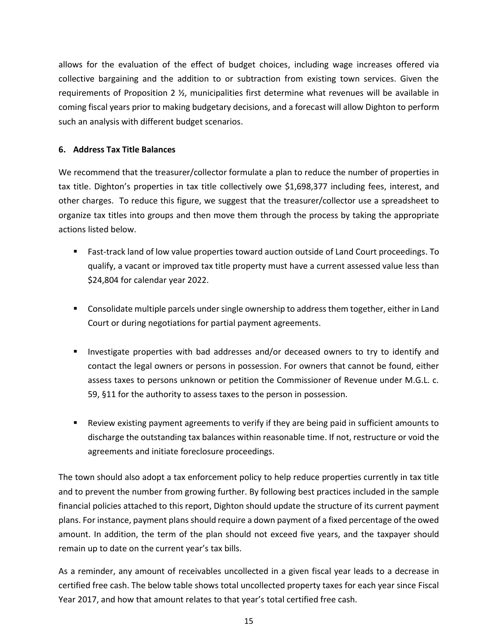allows for the evaluation of the effect of budget choices, including wage increases offered via collective bargaining and the addition to or subtraction from existing town services. Given the requirements of Proposition 2 ½, municipalities first determine what revenues will be available in coming fiscal years prior to making budgetary decisions, and a forecast will allow Dighton to perform such an analysis with different budget scenarios.

#### <span id="page-18-0"></span>**6. Address Tax Title Balances**

We recommend that the treasurer/collector formulate a plan to reduce the number of properties in tax title. Dighton's properties in tax title collectively owe \$1,698,377 including fees, interest, and other charges. To reduce this figure, we suggest that the treasurer/collector use a spreadsheet to organize tax titles into groups and then move them through the process by taking the appropriate actions listed below.

- Fast-track land of low value properties toward auction outside of Land Court proceedings. To qualify, a vacant or improved tax title property must have a current assessed value less than \$24,804 for calendar year 2022.
- Consolidate multiple parcels under single ownership to address them together, either in Land Court or during negotiations for partial payment agreements.
- Investigate properties with bad addresses and/or deceased owners to try to identify and contact the legal owners or persons in possession. For owners that cannot be found, either assess taxes to persons unknown or petition the Commissioner of Revenue under M.G.L. c. 59, §11 for the authority to assess taxes to the person in possession.
- Review existing payment agreements to verify if they are being paid in sufficient amounts to discharge the outstanding tax balances within reasonable time. If not, restructure or void the agreements and initiate foreclosure proceedings.

The town should also adopt a tax enforcement policy to help reduce properties currently in tax title and to prevent the number from growing further. By following best practices included in the sample financial policies attached to this report, Dighton should update the structure of its current payment plans. For instance, payment plans should require a down payment of a fixed percentage of the owed amount. In addition, the term of the plan should not exceed five years, and the taxpayer should remain up to date on the current year's tax bills.

As a reminder, any amount of receivables uncollected in a given fiscal year leads to a decrease in certified free cash. The below table shows total uncollected property taxes for each year since Fiscal Year 2017, and how that amount relates to that year's total certified free cash.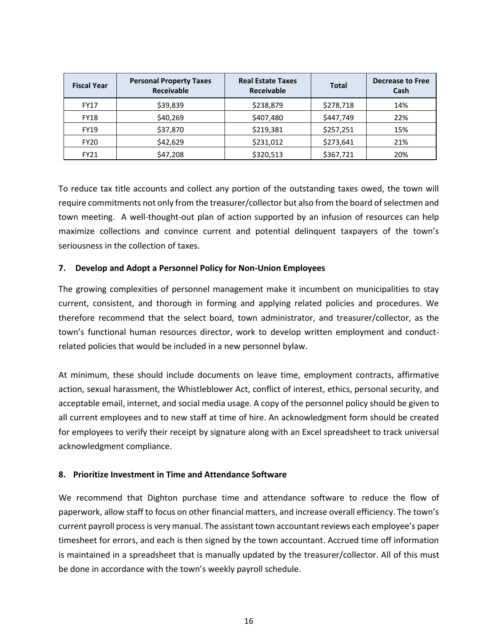| <b>Fiscal Year</b> | <b>Personal Property Taxes</b><br><b>Receivable</b> | <b>Real Estate Taxes</b><br>Receivable | <b>Total</b> | <b>Decrease to Free</b><br>Cash |  |
|--------------------|-----------------------------------------------------|----------------------------------------|--------------|---------------------------------|--|
| <b>FY17</b>        | \$39,839                                            | \$238,879                              | \$278,718    | 14%                             |  |
| <b>FY18</b>        | \$40,269                                            | \$407,480                              | \$447,749    | 22%                             |  |
| <b>FY19</b>        | \$37,870                                            | \$219,381                              | \$257,251    | 15%                             |  |
| <b>FY20</b>        | \$42,629                                            | \$231,012                              | \$273,641    | 21%                             |  |
| FY21               | \$47,208                                            | \$320,513                              | \$367,721    | 20%                             |  |

To reduce tax title accounts and collect any portion of the outstanding taxes owed, the town will require commitments not only from the treasurer/collector but also from the board of selectmen and town meeting. A well-thought-out plan of action supported by an infusion of resources can help maximize collections and convince current and potential delinquent taxpayers of the town's seriousness in the collection of taxes.

#### **7. Develop and Adopt a Personnel Policy for Non-Union Employees**

The growing complexities of personnel management make it incumbent on municipalities to stay current, consistent, and thorough in forming and applying related policies and procedures. We therefore recommend that the select board, town administrator, and treasurer/collector, as the town's functional human resources director, work to develop written employment and conductrelated policies that would be included in a new personnel bylaw.

At minimum, these should include documents on leave time, employment contracts, affirmative action, sexual harassment, the Whistleblower Act, conflict of interest, ethics, personal security, and acceptable email, internet, and social media usage. A copy of the personnel policy should be given to all current employees and to new staff at time of hire. An acknowledgment form should be created for employees to verify their receipt by signature along with an Excel spreadsheet to track universal acknowledgment compliance.

#### <span id="page-19-0"></span>**8. Prioritize Investment in Time and Attendance Software**

We recommend that Dighton purchase time and attendance software to reduce the flow of paperwork, allow staff to focus on other financial matters, and increase overall efficiency. The town's current payroll process is very manual. The assistant town accountant reviews each employee's paper timesheet for errors, and each is then signed by the town accountant. Accrued time off information is maintained in a spreadsheet that is manually updated by the treasurer/collector. All of this must be done in accordance with the town's weekly payroll schedule.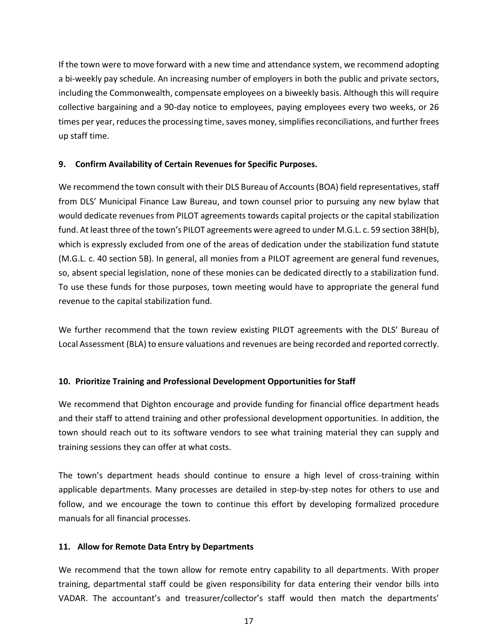If the town were to move forward with a new time and attendance system, we recommend adopting a bi-weekly pay schedule. An increasing number of employers in both the public and private sectors, including the Commonwealth, compensate employees on a biweekly basis. Although this will require collective bargaining and a 90-day notice to employees, paying employees every two weeks, or 26 times per year, reduces the processing time, saves money, simplifies reconciliations, and further frees up staff time.

#### <span id="page-20-0"></span>**9. Confirm Availability of Certain Revenues for Specific Purposes.**

We recommend the town consult with their DLS Bureau of Accounts (BOA) field representatives, staff from DLS' Municipal Finance Law Bureau, and town counsel prior to pursuing any new bylaw that would dedicate revenues from PILOT agreements towards capital projects or the capital stabilization fund. At least three of the town's PILOT agreements were agreed to under M.G.L. c. 59 section 38H(b), which is expressly excluded from one of the areas of dedication under the stabilization fund statute (M.G.L. c. 40 section 5B). In general, all monies from a PILOT agreement are general fund revenues, so, absent special legislation, none of these monies can be dedicated directly to a stabilization fund. To use these funds for those purposes, town meeting would have to appropriate the general fund revenue to the capital stabilization fund.

We further recommend that the town review existing PILOT agreements with the DLS' Bureau of Local Assessment (BLA) to ensure valuations and revenues are being recorded and reported correctly.

#### <span id="page-20-1"></span>**10. Prioritize Training and Professional Development Opportunities for Staff**

We recommend that Dighton encourage and provide funding for financial office department heads and their staff to attend training and other professional development opportunities. In addition, the town should reach out to its software vendors to see what training material they can supply and training sessions they can offer at what costs.

The town's department heads should continue to ensure a high level of cross-training within applicable departments. Many processes are detailed in step-by-step notes for others to use and follow, and we encourage the town to continue this effort by developing formalized procedure manuals for all financial processes.

#### <span id="page-20-2"></span>**11. Allow for Remote Data Entry by Departments**

We recommend that the town allow for remote entry capability to all departments. With proper training, departmental staff could be given responsibility for data entering their vendor bills into VADAR. The accountant's and treasurer/collector's staff would then match the departments'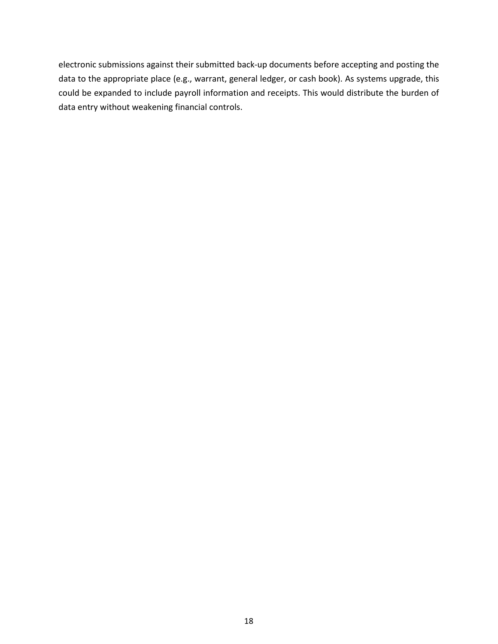electronic submissions against their submitted back-up documents before accepting and posting the data to the appropriate place (e.g., warrant, general ledger, or cash book). As systems upgrade, this could be expanded to include payroll information and receipts. This would distribute the burden of data entry without weakening financial controls.